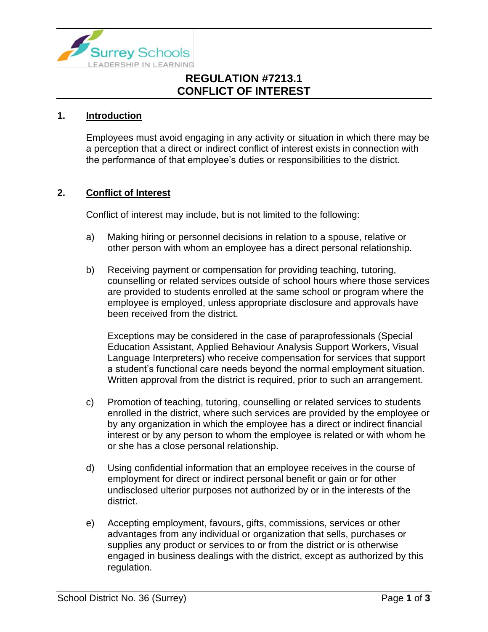

## **REGULATION #7213.1 CONFLICT OF INTEREST**

#### **1. Introduction**

Employees must avoid engaging in any activity or situation in which there may be a perception that a direct or indirect conflict of interest exists in connection with the performance of that employee's duties or responsibilities to the district.

#### **2. Conflict of Interest**

Conflict of interest may include, but is not limited to the following:

- a) Making hiring or personnel decisions in relation to a spouse, relative or other person with whom an employee has a direct personal relationship.
- b) Receiving payment or compensation for providing teaching, tutoring, counselling or related services outside of school hours where those services are provided to students enrolled at the same school or program where the employee is employed, unless appropriate disclosure and approvals have been received from the district.

Exceptions may be considered in the case of paraprofessionals (Special Education Assistant, Applied Behaviour Analysis Support Workers, Visual Language Interpreters) who receive compensation for services that support a student's functional care needs beyond the normal employment situation. Written approval from the district is required, prior to such an arrangement.

- c) Promotion of teaching, tutoring, counselling or related services to students enrolled in the district, where such services are provided by the employee or by any organization in which the employee has a direct or indirect financial interest or by any person to whom the employee is related or with whom he or she has a close personal relationship.
- d) Using confidential information that an employee receives in the course of employment for direct or indirect personal benefit or gain or for other undisclosed ulterior purposes not authorized by or in the interests of the district.
- e) Accepting employment, favours, gifts, commissions, services or other advantages from any individual or organization that sells, purchases or supplies any product or services to or from the district or is otherwise engaged in business dealings with the district, except as authorized by this regulation.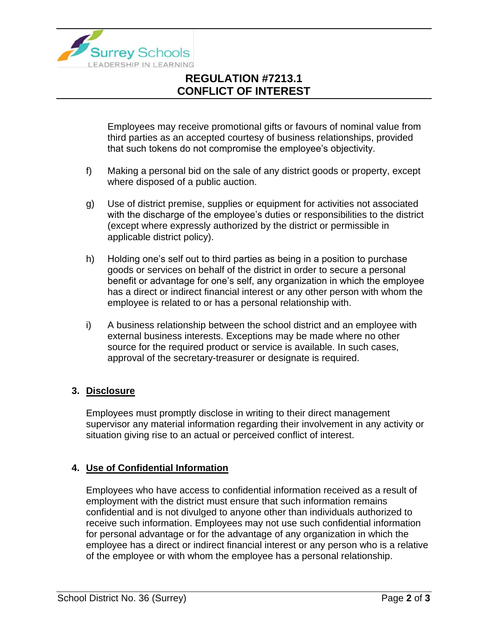

# **REGULATION #7213.1 CONFLICT OF INTEREST**

Employees may receive promotional gifts or favours of nominal value from third parties as an accepted courtesy of business relationships, provided that such tokens do not compromise the employee's objectivity.

- f) Making a personal bid on the sale of any district goods or property, except where disposed of a public auction.
- g) Use of district premise, supplies or equipment for activities not associated with the discharge of the employee's duties or responsibilities to the district (except where expressly authorized by the district or permissible in applicable district policy).
- h) Holding one's self out to third parties as being in a position to purchase goods or services on behalf of the district in order to secure a personal benefit or advantage for one's self, any organization in which the employee has a direct or indirect financial interest or any other person with whom the employee is related to or has a personal relationship with.
- i) A business relationship between the school district and an employee with external business interests. Exceptions may be made where no other source for the required product or service is available. In such cases, approval of the secretary-treasurer or designate is required.

### **3. Disclosure**

Employees must promptly disclose in writing to their direct management supervisor any material information regarding their involvement in any activity or situation giving rise to an actual or perceived conflict of interest.

### **4. Use of Confidential Information**

Employees who have access to confidential information received as a result of employment with the district must ensure that such information remains confidential and is not divulged to anyone other than individuals authorized to receive such information. Employees may not use such confidential information for personal advantage or for the advantage of any organization in which the employee has a direct or indirect financial interest or any person who is a relative of the employee or with whom the employee has a personal relationship.